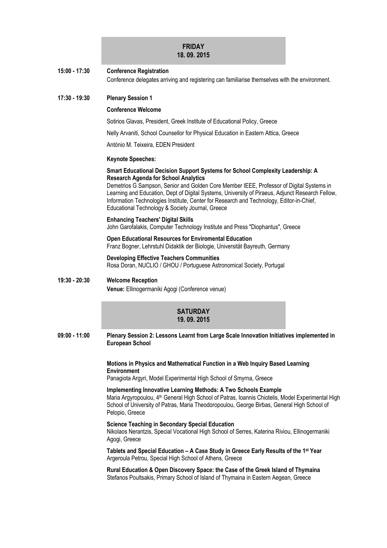# **FRIDAY 18. 09. 2015**

# **15:00 - 17:30 Conference Registration** Conference delegates arriving and registering can familiarise themselves with the environment.

# **17:30 - 19:30 Plenary Session 1**

## **Conference Welcome**

Sotirios Glavas, President, Greek Institute of Educational Policy, Greece

Nelly Arvaniti, School Counsellor for Physical Education in Eastern Attica, Greece

António M. Teixeira, EDEN President

#### **Keynote Speeches:**

# **Smart Educational Decision Support Systems for School Complexity Leadership: A Research Agenda for School Analytics**

Demetrios G Sampson, Senior and Golden Core Member IEEE, Professor of Digital Systems in Learning and Education, Dept of Digital Systems, University of Piraeus, Adjunct Research Fellow, Information Technologies Institute, Center for Research and Technology, Editor-in-Chief, Educational Technology & Society Journal, Greece

# **Enhancing Teachers' Digital Skills**

John Garofalakis, Computer Technology Institute and Press "Diophantus", Greece

# **Open Educational Resources for Enviromental Education**

Franz Bogner, Lehrstuhl Didaktik der Biologie, Universität Bayreuth, Germany

# **Developing Effective Teachers Communities** Rosa Doran, NUCLIO / GHOU / Portuguese Astronomical Society, Portugal

# **19:30 - 20:30 Welcome Reception Venue:** Ellinogermaniki Agogi (Conference venue)

# **SATURDAY 19. 09. 2015**

**09:00 - 11:00 Plenary Session 2: Lessons Learnt from Large Scale Innovation Initiatives implemented in European School**

#### **Motions in Physics and Mathematical Function in a Web Inquiry Based Learning Environment**

Panagiota Argyri, Model Experimental High School of Smyrna, Greece

**Implementing Innovative Learning Methods: A Two Schools Example** Maria Argyropoulou, 4<sup>th</sup> General High School of Patras, Ioannis Chiotelis, Model Experimental High School of University of Patras, Maria Theodoropoulou, George Birbas, General High School of Pelopio, Greece

#### **Science Teaching in Secondary Special Education**

Nikolaos Nerantzis, Special Vocational High School of Serres, Katerina Riviou, Ellinogermaniki Agogi, Greece

**Tablets and Special Education – A Case Study in Greece Early Results of the 1st Year** Argeroula Petrou, Special High School of Athens, Greece

**Rural Education & Open Discovery Space: the Case of the Greek Island of Thymaina** Stefanos Poultsakis, Primary School of Island of Thymaina in Eastern Aegean, Greece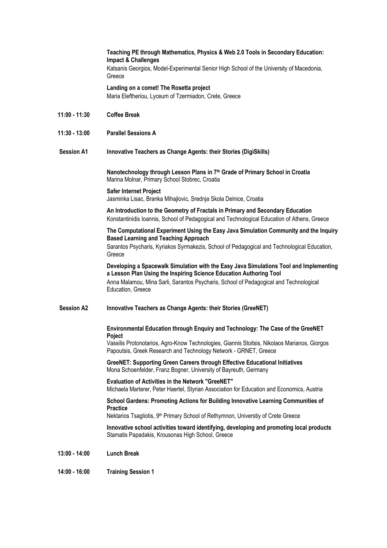# **Teaching PE through Mathematics, Physics & Web 2.0 Tools in Secondary Education: Impact & Challenges**

Katsanis Georgios, Model-Experimental Senior High School of the University of Macedonia, **Greece** 

### **Landing on a comet! The Rosetta project**

Maria Eleftheriou, Lyceum of Tzermiadon, Crete, Greece

- **11:00 - 11:30 Coffee Break**
- **11:30 - 13:00 Parallel Sessions A**

# **Session A1 Innovative Teachers as Change Agents: their Stories (DigiSkills)**

**Nanotechnology through Lesson Plans in 7th Grade of Primary School in Croatia** Marina Molnar, Primary School Stobrec, Croatia

## **Safer Internet Project**

Jasminka Lisac, Branka Mihajlovic, Srednja Skola Delnice, Croatia

**An Introduction to the Geometry of Fractals in Primary and Secondary Education** Konstantinidis Ioannis, School of Pedagogical and Technological Education of Athens, Greece

**The Computational Experiment Using the Easy Java Simulation Community and the Inquiry Based Learning and Teaching Approach**

Sarantos Psycharis, Kyriakos Syrmakezis, School of Pedagogical and Technological Education, **Greece** 

**Developing a Spacewalk Simulation with the Easy Java Simulations Tool and Implementing a Lesson Plan Using the Inspiring Science Education Authoring Tool** Anna Malamou, Mina Sarli, Sarantos Psycharis, School of Pedagogical and Technological Education, Greece

**Session A2 Innovative Teachers as Change Agents: their Stories (GreeNET)**

# **Environmental Education through Enquiry and Technology: The Case of the GreeNET Poject**

Vassilis Protonotarios, Agro-Know Technologies, Giannis Stoitsis, Nikolaos Marianos, Giorgos Papoutsis, Greek Research and Technology Network - GRNET, Greece

**GreeNET: Supporting Green Careers through Effective Educational Initiatives** Mona Schoenfelder, Franz Bogner, University of Bayreuth, Germany

**Evaluation of Activities in the Network "GreeNET"** Michaela Marterer, Peter Haertel, Styrian Association for Education and Economics, Austria

# **School Gardens: Promoting Actions for Building Innovative Learning Communities of Practice**

Nektarios Tsagliotis, 9<sup>th</sup> Primary School of Rethymnon, Universtiy of Crete Greece

**Innovative school activities toward identifying, developing and promoting local products** Stamatis Papadakis, Krousonas High School, Greece

- **13:00 - 14:00 Lunch Break**
- **14:00 - 16:00 Training Session 1**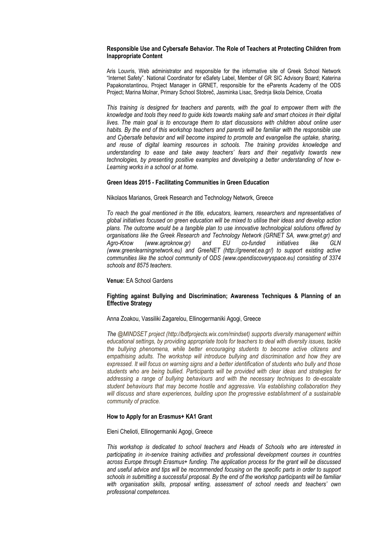#### **Responsible Use and Cybersafe Behavior. The Role of Teachers at Protecting Children from Inappropriate Content**

Aris Louvris, Web administrator and responsible for the informative site of Greek School Network "Internet Safety". National Coordinator for eSafety Label, Member of GR SIC Advisory Board; Katerina Papakonstantinou, Project Manager in GRNET, responsible for the eParents Academy of the ODS Project; Marina Molnar, Primary School Stobreč, Jasminka Lisac, Srednja škola Delnice, Croatia

*This training is designed for teachers and parents, with the goal to empower them with the knowledge and tools they need to guide kids towards making safe and smart choices in their digital lives. The main goal is to encourage them to start discussions with children about online user habits. By the end of this workshop teachers and parents will be familiar with the responsible use and Cybersafe behavior and will become inspired to promote and evangelise the uptake, sharing, and reuse of digital learning resources in schools. The training provides knowledge and understanding to ease and take away teachers' fears and their negativity towards new technologies, by presenting positive examples and developing a better understanding of how e-Learning works in a school or at home.*

#### **Green Ideas 2015 - Facilitating Communities in Green Education**

Nikolaos Marianos, Greek Research and Technology Network, Greece

*To reach the goal mentioned in the title, educators, learners, researchers and representatives of global initiatives focused on green education will be mixed to utilise their ideas and develop action plans. The outcome would be a tangible plan to use innovative technological solutions offered by organisations like the Greek Research and Technology Network (GRNET SA, www.grnet.gr) and Agro-Know (www.agroknow.gr) and EU co-funded initiatives like GLN (www.greenlearningnetwork.eu) and GreeNET (http://greenet.ea.gr/) to support existing active communities like the school community of ODS (www.opendiscoveryspace.eu) consisting of 3374 schools and 8575 teachers.*

#### **Venue:** EA School Gardens

#### **Fighting against Bullying and Discrimination; Awareness Techniques & Planning of an Effective Strategy**

#### Anna Zoakou, Vassiliki Zagarelou, Ellinogermaniki Agogi, Greece

*The @MINDSET project (http://bdfprojects.wix.com/mindset) supports diversity management within educational settings, by providing appropriate tools for teachers to deal with diversity issues, tackle the bullying phenomena, while better encouraging students to become active citizens and*  empathising adults. The workshop will introduce bullying and discrimination and how they are *expressed. It will focus on warning signs and a better identification of students who bully and those students who are being bullied. Participants will be provided with clear ideas and strategies for addressing a range of bullying behaviours and with the necessary techniques to de-escalate student behaviours that may become hostile and aggressive. Via establishing collaboration they will discuss and share experiences, building upon the progressive establishment of a sustainable community of practice.*

#### **How to Apply for an Erasmus+ KA1 Grant**

Eleni Chelioti, Ellinogermaniki Agogi, Greece

*This workshop is dedicated to school teachers and Heads of Schools who are interested in participating in in-service training activities and professional development courses in countries across Europe through Erasmus+ funding. The application process for the grant will be discussed and useful advice and tips will be recommended focusing on the specific parts in order to support schools in submitting a successful proposal. By the end of the workshop participants will be familiar with organisation skills, proposal writing, assessment of school needs and teachers' own professional competences.*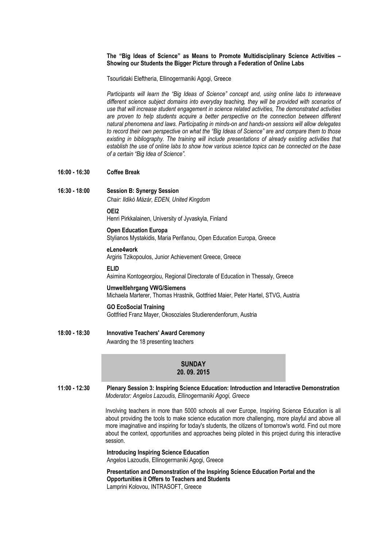### **The "Big Ideas of Science" as Means to Promote Multidisciplinary Science Activities – Showing our Students the Bigger Picture through a Federation of Online Labs**

Tsourlidaki Eleftheria, Ellinogermaniki Agogi, Greece

*Participants will learn the "Big Ideas of Science" concept and, using online labs to interweave different science subject domains into everyday teaching, they will be provided with scenarios of use that will increase student engagement in science related activities, The demonstrated activities are proven to help students acquire a better perspective on the connection between different natural phenomena and laws. Participating in minds-on and hands-on sessions will allow delegates to record their own perspective on what the "Big Ideas of Science" are and compare them to those existing in bibliography. The training will include presentations of already existing activities that establish the use of online labs to show how various science topics can be connected on the base of a certain "Big Idea of Science".*

#### **16:00 - 16:30 Coffee Break**

# **16:30 - 18:00 Session B: Synergy Session**

*Chair: Ildikó Mázár, EDEN, United Kingdom*

# **OEI2**

Henri Pirkkalainen, University of Jyvaskyla, Finland

#### **Open Education Europa** Stylianos Mystakidis, Maria Perifanou, Open Education Europa, Greece

**eLene4work** Argiris Tzikopoulos, Junior Achievement Greece, Greece

#### **ELID**

Asimina Kontogeorgiou, Regional Directorate of Education in Thessaly, Greece

## **Umweltlehrgang VWG/Siemens**

Michaela Marterer, Thomas Hrastnik, Gottfried Maier, Peter Hartel, STVG, Austria

## **GO EcoSocial Training**

Gottfried Franz Mayer, Okosoziales Studierendenforum, Austria

**18:00 - 18:30 Innovative Teachers' Award Ceremony**

Awarding the 18 presenting teachers

# **SUNDAY 20. 09. 2015**

**11:00 - 12:30 Plenary Session 3: Inspiring Science Education: Introduction and Interactive Demonstration** *Moderator: Angelos Lazoudis, Ellinogermaniki Agogi, Greece*

> Involving teachers in more than 5000 schools all over Europe, Inspiring Science Education is all about providing the tools to make science education more challenging, more playful and above all more imaginative and inspiring for today's students, the citizens of tomorrow's world. Find out more about the context, opportunities and approaches being piloted in this project during this interactive session.

#### **Introducing Inspiring Science Education** Angelos Lazoudis, Ellinogermaniki Agogi, Greece

**Presentation and Demonstration of the Inspiring Science Education Portal and the Opportunities it Offers to Teachers and Students** Lamprini Kolovou, INTRASOFT, Greece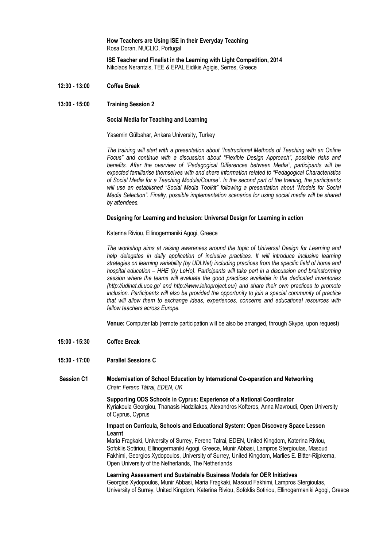**How Teachers are Using ISE in their Everyday Teaching** Rosa Doran, NUCLIO, Portugal

**ISE Teacher and Finalist in the Learning with Light Competition, 2014** Nikolaos Nerantzis, TEE & EPAL Eidikis Agigis, Serres, Greece

- **12:30 - 13:00 Coffee Break**
- **13:00 - 15:00 Training Session 2**

#### **Social Media for Teaching and Learning**

Yasemin Gülbahar, Ankara University, Turkey

*The training will start with a presentation about "Instructional Methods of Teaching with an Online Focus" and continue with a discussion about "Flexible Design Approach", possible risks and benefits. After the overview of "Pedagogical Differences between Media", participants will be expected familiarise themselves with and share information related to "Pedagogical Characteristics of Social Media for a Teaching Module/Course". In the second part of the training, the participants will use an established "Social Media Toolkit" following a presentation about "Models for Social Media Selection". Finally, possible implementation scenarios for using social media will be shared by attendees.*

#### **Designing for Learning and Inclusion: Universal Design for Learning in action**

Katerina Riviou, Ellinogermaniki Agogi, Greece

*The workshop aims at raising awareness around the topic of Universal Design for Learning and*  help delegates in daily application of inclusive practices. It will introduce inclusive learning *strategies on learning variability (by UDLNet) including practices from the specific field of home and hospital education – HHE (by LeHo). Participants will take part in a discussion and brainstorming session where the teams will evaluate the good practices available in the dedicated inventories (http://udlnet.di.uoa.gr/ and http://www.lehoproject.eu/) and share their own practices to promote inclusion. Participants will also be provided the opportunity to join a special community of practice that will allow them to exchange ideas, experiences, concerns and educational resources with fellow teachers across Europe.*

**Venue:** Computer lab (remote participation will be also be arranged, through Skype, upon request)

- **15:00 - 15:30 Coffee Break**
- **15:30 - 17:00 Parallel Sessions C**

# **Session C1 Modernisation of School Education by International Co-operation and Networking** *Chair: Ferenc Tátrai, EDEN, UK*

**Supporting ODS Schools in Cyprus: Experience of a National Coordinator** Kyriakoula Georgiou, Thanasis Hadzilakos, Alexandros Kofteros, Anna Mavroudi, Open University of Cyprus, Cyprus

#### **Impact on Curricula, Schools and Educational System: Open Discovery Space Lesson Learnt**

Maria Fragkaki, University of Surrey, Ferenc Tatrai, EDEN, United Kingdom, Katerina Riviou, Sofoklis Sotiriou, Ellinogermaniki Agogi, Greece, Munir Abbasi, Lampros Stergioulas, Masoud Fakhimi, Georgios Xydopoulos, University of Surrey, United Kingdom, Marlies E. Bitter-Rijpkema, Open University of the Netherlands, The Netherlands

#### **Learning Assessment and Sustainable Business Models for OER Initiatives**

Georgios Xydopoulos, Munir Abbasi, Maria Fragkaki, Masoud Fakhimi, Lampros Stergioulas, University of Surrey, United Kingdom, Katerina Riviou, Sofoklis Sotiriou, Ellinogermaniki Agogi, Greece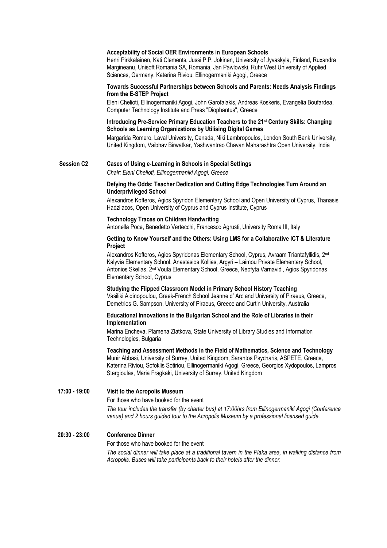#### **Acceptability of Social OER Environments in European Schools**

Henri Pirkkalainen, Kati Clements, Jussi P.P. Jokinen, University of Jyvaskyla, Finland, Ruxandra Margineanu, Unisoft Romania SA, Romania, Jan Pawlowski, Ruhr West University of Applied Sciences, Germany, Katerina Riviou, Ellinogermaniki Agogi, Greece

# **Towards Successful Partnerships between Schools and Parents: Needs Analysis Findings from the E-STEP Project**

Eleni Chelioti, Ellinogermaniki Agogi, John Garofalakis, Andreas Koskeris, Evangelia Boufardea, Computer Technology Institute and Press "Diophantus", Greece

#### **Introducing Pre-Service Primary Education Teachers to the 21st Century Skills: Changing Schools as Learning Organizations by Utilising Digital Games**

Margarida Romero, Laval University, Canada, Niki Lambropoulos, London South Bank University, United Kingdom, Vaibhav Birwatkar, Yashwantrao Chavan Maharashtra Open University, India

# **Session C2 Cases of Using e-Learning in Schools in Special Settings**

*Chair: Eleni Chelioti, Ellinogermaniki Agogi, Greece*

#### **Defying the Odds: Teacher Dedication and Cutting Edge Technologies Turn Around an Underprivileged School**

Alexandros Kofteros, Agios Spyridon Elementary School and Open University of Cyprus, Thanasis Hadzilacos, Open University of Cyprus and Cyprus Institute, Cyprus

## **Technology Traces on Children Handwriting**

Antonella Poce, Benedetto Vertecchi, Francesco Agrusti, University Roma III, Italy

## **Getting to Know Yourself and the Others: Using LMS for a Collaborative ICT & Literature Project**

Alexandros Kofteros, Agios Spyridonas Elementary School, Cyprus, Avraam Triantafyllidis, 2nd Kalyvia Elementary School, Anastasios Kollias, Argyri – Laimou Private Elementary School, Antonios Skellas, 2nd Voula Elementary School, Greece, Neofyta Varnavidi, Agios Spyridonas Elementary School, Cyprus

## **Studying the Flipped Classroom Model in Primary School History Teaching**

Vasiliki Aidinopoulou, Greek-French School Jeanne d' Arc and University of Piraeus, Greece, Demetrios G. Sampson, University of Piraeus, Greece and Curtin University, Australia

#### **Educational Innovations in the Bulgarian School and the Role of Libraries in their Implementation**

Marina Encheva, Plamena Zlatkova, State University of Library Studies and Information Technologies, Bulgaria

**Teaching and Assessment Methods in the Field of Mathematics, Science and Technology** Munir Abbasi, University of Surrey, United Kingdom, Sarantos Psycharis, ASPETE, Greece, Katerina Riviou, Sofoklis Sotiriou, Ellinogermaniki Agogi, Greece, Georgios Xydopoulos, Lampros Stergioulas, Maria Fragkaki, University of Surrey, United Kingdom

**17:00 - 19:00 Visit to the Acropolis Museum**

For those who have booked for the event

*The tour includes the transfer (by charter bus) at 17:00hrs from Ellinogermaniki Agogi (Conference venue) and 2 hours guided tour to th[e Acropolis Museum b](http://www.theacropolismuseum.gr/en)y a professional licensed guide.*

# **20:30 - 23:00 Conference Dinner**

For those who have booked for the event

*The social dinner will take place at a [traditional tavern](http://www.psaras-taverna.gr/en/) in the Plaka area, in walking distance from Acropolis. Buses will take participants back to their hotels after the dinner.*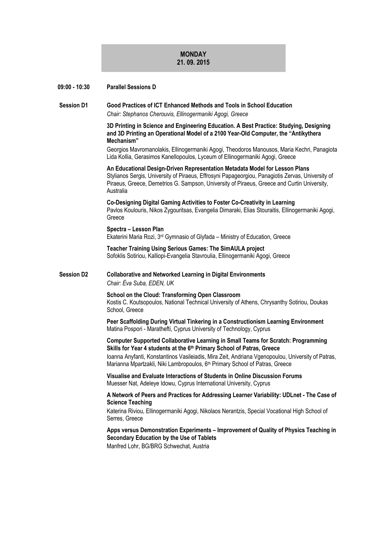# **MONDAY 21. 09. 2015**

| 09:00 - 10:30     | <b>Parallel Sessions D</b>                                                                                                                                                                                                                                                                                                                                          |
|-------------------|---------------------------------------------------------------------------------------------------------------------------------------------------------------------------------------------------------------------------------------------------------------------------------------------------------------------------------------------------------------------|
| <b>Session D1</b> | Good Practices of ICT Enhanced Methods and Tools in School Education<br>Chair: Stephanos Cherouvis, Ellinogermaniki Agogi, Greece                                                                                                                                                                                                                                   |
|                   | 3D Printing in Science and Engineering Education. A Best Practice: Studying, Designing<br>and 3D Printing an Operational Model of a 2100 Year-Old Computer, the "Antikythera<br>Mechanism"                                                                                                                                                                          |
|                   | Georgios Mavromanolakis, Ellinogermaniki Agogi, Theodoros Manousos, Maria Kechri, Panagiota<br>Lida Kollia, Gerasimos Kanellopoulos, Lyceum of Ellinogermaniki Agogi, Greece                                                                                                                                                                                        |
|                   | An Educational Design-Driven Representation Metadata Model for Lesson Plans<br>Stylianos Sergis, University of Piraeus, Effrosyni Papageorgiou, Panagiotis Zervas, University of<br>Piraeus, Greece, Demetrios G. Sampson, University of Piraeus, Greece and Curtin University,<br>Australia                                                                        |
|                   | Co-Designing Digital Gaming Activities to Foster Co-Creativity in Learning<br>Pavlos Koulouris, Nikos Zygouritsas, Evangelia Dimaraki, Elias Stouraitis, Ellinogermaniki Agogi,<br>Greece                                                                                                                                                                           |
|                   | Spectra - Lesson Plan<br>Ekaterini Maria Rozi, 3 <sup>rd</sup> Gymnasio of Glyfada - Ministry of Education, Greece                                                                                                                                                                                                                                                  |
|                   | <b>Teacher Training Using Serious Games: The SimAULA project</b><br>Sofoklis Sotiriou, Kalliopi-Evangelia Stavroulia, Ellinogermaniki Agogi, Greece                                                                                                                                                                                                                 |
| <b>Session D2</b> | <b>Collaborative and Networked Learning in Digital Environments</b><br>Chair: Éva Suba, EDEN, UK                                                                                                                                                                                                                                                                    |
|                   | School on the Cloud: Transforming Open Classroom<br>Kostis C. Koutsopoulos, National Technical University of Athens, Chrysanthy Sotiriou, Doukas<br>School, Greece                                                                                                                                                                                                  |
|                   | Peer Scaffolding During Virtual Tinkering in a Constructionism Learning Environment<br>Matina Pospori - Marathefti, Cyprus University of Technology, Cyprus                                                                                                                                                                                                         |
|                   | <b>Computer Supported Collaborative Learning in Small Teams for Scratch: Programming</b><br>Skills for Year 4 students at the 6th Primary School of Patras, Greece<br>Ioanna Anyfanti, Konstantinos Vasileiadis, Mira Zeit, Andriana Vgenopoulou, University of Patras,<br>Marianna Mpartzakli, Niki Lambropoulos, 6 <sup>th</sup> Primary School of Patras, Greece |
|                   | Visualise and Evaluate Interactions of Students in Online Discussion Forums<br>Muesser Nat, Adeleye Idowu, Cyprus International University, Cyprus                                                                                                                                                                                                                  |
|                   | A Network of Peers and Practices for Addressing Learner Variability: UDLnet - The Case of<br><b>Science Teaching</b><br>Katerina Riviou, Ellinogermaniki Agogi, Nikolaos Nerantzis, Special Vocational High School of<br>Serres, Greece                                                                                                                             |
|                   | Apps versus Demonstration Experiments - Improvement of Quality of Physics Teaching in<br>Secondary Education by the Use of Tablets<br>Manfred Lohr, BG/BRG Schwechat, Austria                                                                                                                                                                                       |
|                   |                                                                                                                                                                                                                                                                                                                                                                     |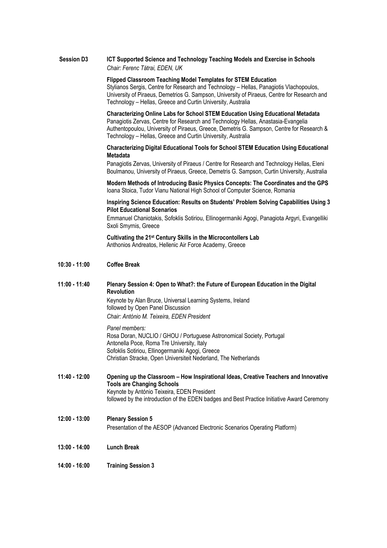# **Session D3 ICT Supported Science and Technology Teaching Models and Exercise in Schools** *Chair: Ferenc Tátrai, EDEN, UK*

**Flipped Classroom Teaching Model Templates for STEM Education**

Stylianos Sergis, Centre for Research and Technology – Hellas, Panagiotis Vlachopoulos, University of Piraeus, Demetrios G. Sampson, University of Piraeus, Centre for Research and Technology – Hellas, Greece and Curtin University, Australia

**Characterizing Online Labs for School STEM Education Using Educational Metadata** Panagiotis Zervas, Centre for Research and Technology Hellas, Anastasia-Evangelia Authentopoulou, University of Piraeus, Greece, Demetris G. Sampson, Centre for Research & Technology – Hellas, Greece and Curtin University, Australia

# **Characterizing Digital Educational Tools for School STEM Education Using Educational Metadata**

Panagiotis Zervas, University of Piraeus / Centre for Research and Technology Hellas, Eleni Boulmanou, University of Piraeus, Greece, Demetris G. Sampson, Curtin University, Australia

**Modern Methods of Introducing Basic Physics Concepts: The Coordinates and the GPS** Ioana Stoica, Tudor Vianu National High School of Computer Science, Romania

#### **Inspiring Science Education: Results on Students' Problem Solving Capabilities Using 3 Pilot Educational Scenarios**

Emmanuel Chaniotakis, Sofoklis Sotiriou, Ellinogermaniki Agogi, Panagiota Argyri, Evangelliki Sxoli Smyrnis, Greece

**Cultivating the 21st Century Skills in the Microcontollers Lab** Anthonios Andreatos, Hellenic Air Force Academy, Greece

#### **10:30 - 11:00 Coffee Break**

**11:00 - 11:40 Plenary Session 4: Open to What?: the Future of European Education in the Digital Revolution**

Keynote by Alan Bruce, Universal Learning Systems, Ireland followed by Open Panel Discussion *Chair: António M. Teixeira, EDEN President*

*Panel members:* Rosa Doran, NUCLIO / GHOU / Portuguese Astronomical Society, Portugal Antonella Poce, Roma Tre University, Italy Sofoklis Sotiriou, Ellinogermaniki Agogi, Greece Christian Stracke, Open Universiteit Nederland, The Netherlands

- **11:40 - 12:00 Opening up the Classroom – How Inspirational Ideas, Creative Teachers and Innovative Tools are Changing Schools** Keynote by António Teixeira, EDEN President followed by the introduction of the EDEN badges and Best Practice Initiative Award Ceremony
- **12:00 - 13:00 Plenary Session 5** Presentation of the AESOP (Advanced Electronic Scenarios Operating Platform)
- **13:00 - 14:00 Lunch Break**
- **14:00 - 16:00 Training Session 3**